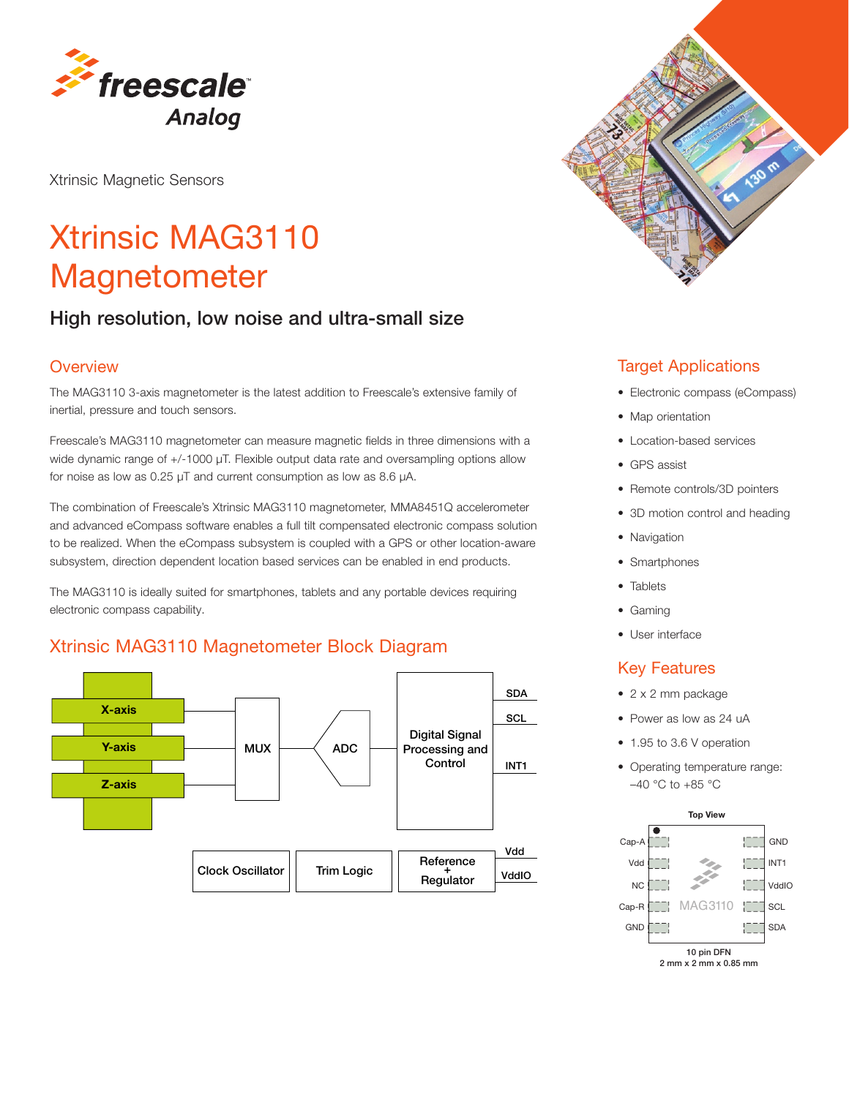

Xtrinsic Magnetic Sensors

# Xtrinsic MAG3110 **Magnetometer**

## High resolution, low noise and ultra-small size

#### **Overview**

The MAG3110 3-axis magnetometer is the latest addition to Freescale's extensive family of inertial, pressure and touch sensors.

Freescale's MAG3110 magnetometer can measure magnetic fields in three dimensions with a wide dynamic range of +/-1000 μT. Flexible output data rate and oversampling options allow for noise as low as 0.25 μT and current consumption as low as 8.6 μA.

The combination of Freescale's Xtrinsic MAG3110 magnetometer, MMA8451Q accelerometer and advanced eCompass software enables a full tilt compensated electronic compass solution to be realized. When the eCompass subsystem is coupled with a GPS or other location-aware subsystem, direction dependent location based services can be enabled in end products.

The MAG3110 is ideally suited for smartphones, tablets and any portable devices requiring electronic compass capability.

#### Xtrinsic MAG3110 Magnetometer Block Diagram





#### Target Applications

- Electronic compass (eCompass)
- Map orientation
- Location-based services
- GPS assist
- Remote controls/3D pointers
- 3D motion control and heading
- Navigation
- Smartphones
- Tablets
- Gaming
- User interface

#### Key Features

- 2 x 2 mm package
- Power as low as 24 uA
- 1.95 to 3.6 V operation
- Operating temperature range: –40 °C to +85 °C



2 mm x 2 mm x 0.85 mm